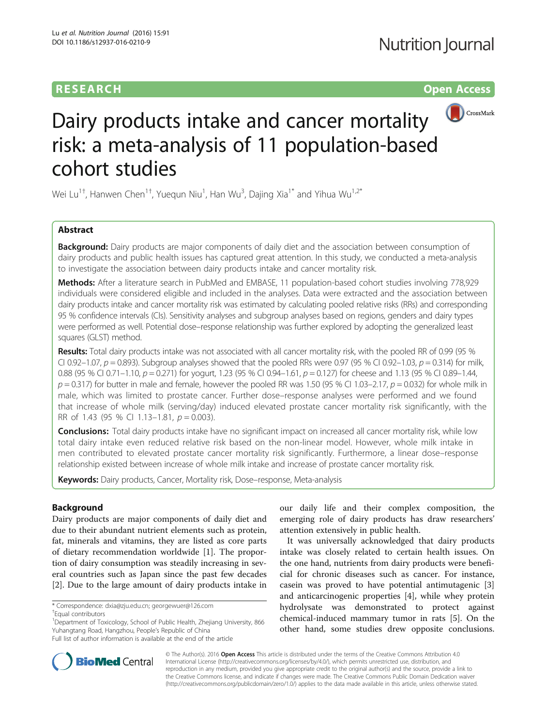# **RESEARCH CHINESE ARCH CHINESE ARCH CHINESE ARCH**



# Dairy products intake and cancer mortality risk: a meta-analysis of 11 population-based cohort studies

Wei Lu<sup>1†</sup>, Hanwen Chen<sup>1†</sup>, Yuequn Niu<sup>1</sup>, Han Wu<sup>3</sup>, Dajing Xia<sup>1\*</sup> and Yihua Wu<sup>1,2\*</sup>

# Abstract

**Background:** Dairy products are major components of daily diet and the association between consumption of dairy products and public health issues has captured great attention. In this study, we conducted a meta-analysis to investigate the association between dairy products intake and cancer mortality risk.

Methods: After a literature search in PubMed and EMBASE, 11 population-based cohort studies involving 778,929 individuals were considered eligible and included in the analyses. Data were extracted and the association between dairy products intake and cancer mortality risk was estimated by calculating pooled relative risks (RRs) and corresponding 95 % confidence intervals (CIs). Sensitivity analyses and subgroup analyses based on regions, genders and dairy types were performed as well. Potential dose–response relationship was further explored by adopting the generalized least squares (GLST) method.

Results: Total dairy products intake was not associated with all cancer mortality risk, with the pooled RR of 0.99 (95 % CI 0.92–1.07,  $p = 0.893$ ). Subgroup analyses showed that the pooled RRs were 0.97 (95 % CI 0.92–1.03,  $p = 0.314$ ) for milk, 0.88 (95 % CI 0.71 – 1.10,  $p = 0.271$ ) for yogurt, 1.23 (95 % CI 0.94 – 1.61,  $p = 0.127$ ) for cheese and 1.13 (95 % CI 0.89 – 1.44,  $p = 0.317$ ) for butter in male and female, however the pooled RR was 1.50 (95 % CI 1.03–2.17,  $p = 0.032$ ) for whole milk in male, which was limited to prostate cancer. Further dose–response analyses were performed and we found that increase of whole milk (serving/day) induced elevated prostate cancer mortality risk significantly, with the RR of 1.43 (95 % CI 1.13–1.81,  $p = 0.003$ ).

**Conclusions:** Total dairy products intake have no significant impact on increased all cancer mortality risk, while low total dairy intake even reduced relative risk based on the non-linear model. However, whole milk intake in men contributed to elevated prostate cancer mortality risk significantly. Furthermore, a linear dose–response relationship existed between increase of whole milk intake and increase of prostate cancer mortality risk.

Keywords: Dairy products, Cancer, Mortality risk, Dose-response, Meta-analysis

## Background

Dairy products are major components of daily diet and due to their abundant nutrient elements such as protein, fat, minerals and vitamins, they are listed as core parts of dietary recommendation worldwide [\[1](#page-10-0)]. The proportion of dairy consumption was steadily increasing in several countries such as Japan since the past few decades [[2\]](#page-10-0). Due to the large amount of dairy products intake in

our daily life and their complex composition, the emerging role of dairy products has draw researchers' attention extensively in public health.

It was universally acknowledged that dairy products intake was closely related to certain health issues. On the one hand, nutrients from dairy products were beneficial for chronic diseases such as cancer. For instance, casein was proved to have potential antimutagenic [\[3](#page-10-0)] and anticarcinogenic properties [[4\]](#page-10-0), while whey protein hydrolysate was demonstrated to protect against chemical-induced mammary tumor in rats [\[5](#page-10-0)]. On the other hand, some studies drew opposite conclusions.



© The Author(s). 2016 Open Access This article is distributed under the terms of the Creative Commons Attribution 4.0 International License [\(http://creativecommons.org/licenses/by/4.0/](http://creativecommons.org/licenses/by/4.0/)), which permits unrestricted use, distribution, and reproduction in any medium, provided you give appropriate credit to the original author(s) and the source, provide a link to the Creative Commons license, and indicate if changes were made. The Creative Commons Public Domain Dedication waiver [\(http://creativecommons.org/publicdomain/zero/1.0/](http://creativecommons.org/publicdomain/zero/1.0/)) applies to the data made available in this article, unless otherwise stated.

<sup>\*</sup> Correspondence: [dxia@zju.edu.cn;](mailto:dxia@zju.edu.cn) [georgewuer@126.com](mailto:georgewuer@126.com) †

Equal contributors

<sup>&</sup>lt;sup>1</sup>Department of Toxicology, School of Public Health, Zhejiang University, 866 Yuhangtang Road, Hangzhou, People's Republic of China

Full list of author information is available at the end of the article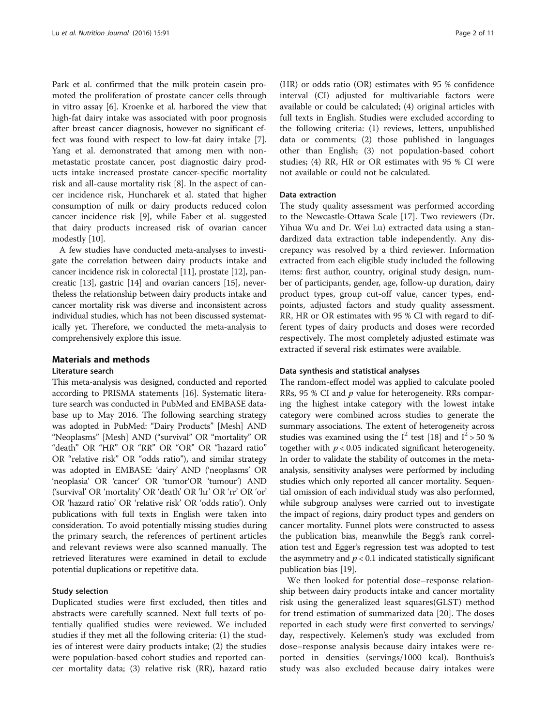Park et al. confirmed that the milk protein casein promoted the proliferation of prostate cancer cells through in vitro assay [[6\]](#page-10-0). Kroenke et al. harbored the view that high-fat dairy intake was associated with poor prognosis after breast cancer diagnosis, however no significant effect was found with respect to low-fat dairy intake [\[7](#page-10-0)]. Yang et al. demonstrated that among men with nonmetastatic prostate cancer, post diagnostic dairy products intake increased prostate cancer-specific mortality risk and all-cause mortality risk [\[8](#page-10-0)]. In the aspect of cancer incidence risk, Huncharek et al. stated that higher consumption of milk or dairy products reduced colon cancer incidence risk [\[9](#page-10-0)], while Faber et al. suggested that dairy products increased risk of ovarian cancer modestly [[10](#page-10-0)].

A few studies have conducted meta-analyses to investigate the correlation between dairy products intake and cancer incidence risk in colorectal [\[11\]](#page-10-0), prostate [[12](#page-10-0)], pancreatic [\[13\]](#page-10-0), gastric [[14](#page-10-0)] and ovarian cancers [[15](#page-10-0)], nevertheless the relationship between dairy products intake and cancer mortality risk was diverse and inconsistent across individual studies, which has not been discussed systematically yet. Therefore, we conducted the meta-analysis to comprehensively explore this issue.

## Materials and methods

## Literature search

This meta-analysis was designed, conducted and reported according to PRISMA statements [\[16](#page-10-0)]. Systematic literature search was conducted in PubMed and EMBASE database up to May 2016. The following searching strategy was adopted in PubMed: "Dairy Products" [Mesh] AND "Neoplasms" [Mesh] AND ("survival" OR "mortality" OR "death" OR "HR" OR "RR" OR "OR" OR "hazard ratio" OR "relative risk" OR "odds ratio"), and similar strategy was adopted in EMBASE: 'dairy' AND ('neoplasms' OR 'neoplasia' OR 'cancer' OR 'tumor'OR 'tumour') AND ('survival' OR 'mortality' OR 'death' OR 'hr' OR 'rr' OR 'or' OR 'hazard ratio' OR 'relative risk' OR 'odds ratio'). Only publications with full texts in English were taken into consideration. To avoid potentially missing studies during the primary search, the references of pertinent articles and relevant reviews were also scanned manually. The retrieved literatures were examined in detail to exclude potential duplications or repetitive data.

## Study selection

Duplicated studies were first excluded, then titles and abstracts were carefully scanned. Next full texts of potentially qualified studies were reviewed. We included studies if they met all the following criteria: (1) the studies of interest were dairy products intake; (2) the studies were population-based cohort studies and reported cancer mortality data; (3) relative risk (RR), hazard ratio

(HR) or odds ratio (OR) estimates with 95 % confidence interval (CI) adjusted for multivariable factors were available or could be calculated; (4) original articles with full texts in English. Studies were excluded according to the following criteria: (1) reviews, letters, unpublished data or comments; (2) those published in languages other than English; (3) not population-based cohort studies; (4) RR, HR or OR estimates with 95 % CI were not available or could not be calculated.

#### Data extraction

The study quality assessment was performed according to the Newcastle-Ottawa Scale [\[17](#page-10-0)]. Two reviewers (Dr. Yihua Wu and Dr. Wei Lu) extracted data using a standardized data extraction table independently. Any discrepancy was resolved by a third reviewer. Information extracted from each eligible study included the following items: first author, country, original study design, number of participants, gender, age, follow-up duration, dairy product types, group cut-off value, cancer types, endpoints, adjusted factors and study quality assessment. RR, HR or OR estimates with 95 % CI with regard to different types of dairy products and doses were recorded respectively. The most completely adjusted estimate was extracted if several risk estimates were available.

## Data synthesis and statistical analyses

The random-effect model was applied to calculate pooled RRs, 95 % CI and  $p$  value for heterogeneity. RRs comparing the highest intake category with the lowest intake category were combined across studies to generate the summary associations. The extent of heterogeneity across studies was examined using the  $I^2$  test [\[18\]](#page-10-0) and  $I^2 > 50$  % together with  $p < 0.05$  indicated significant heterogeneity. In order to validate the stability of outcomes in the metaanalysis, sensitivity analyses were performed by including studies which only reported all cancer mortality. Sequential omission of each individual study was also performed, while subgroup analyses were carried out to investigate the impact of regions, dairy product types and genders on cancer mortality. Funnel plots were constructed to assess the publication bias, meanwhile the Begg's rank correlation test and Egger's regression test was adopted to test the asymmetry and  $p < 0.1$  indicated statistically significant publication bias [\[19](#page-10-0)].

We then looked for potential dose–response relationship between dairy products intake and cancer mortality risk using the generalized least squares(GLST) method for trend estimation of summarized data [[20](#page-10-0)]. The doses reported in each study were first converted to servings/ day, respectively. Kelemen's study was excluded from dose–response analysis because dairy intakes were reported in densities (servings/1000 kcal). Bonthuis's study was also excluded because dairy intakes were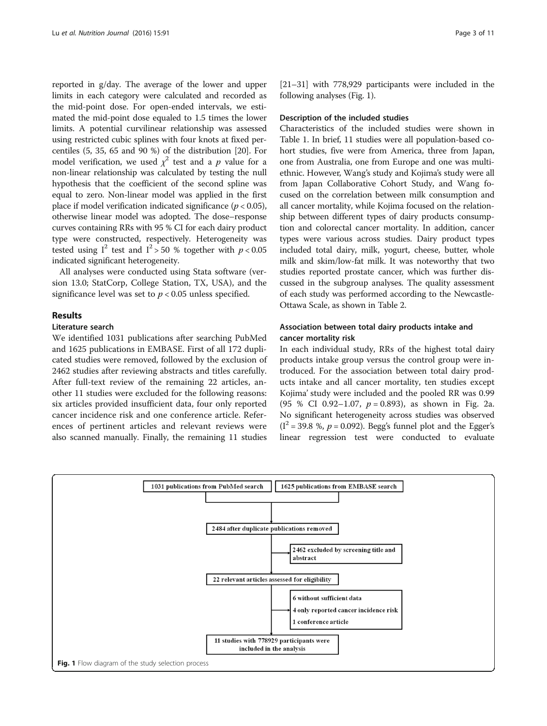reported in g/day. The average of the lower and upper limits in each category were calculated and recorded as the mid-point dose. For open-ended intervals, we estimated the mid-point dose equaled to 1.5 times the lower limits. A potential curvilinear relationship was assessed using restricted cubic splines with four knots at fixed percentiles (5, 35, 65 and 90 %) of the distribution [\[20](#page-10-0)]. For model verification, we used  $\chi^2$  test and a  $p$  value for a non-linear relationship was calculated by testing the null hypothesis that the coefficient of the second spline was equal to zero. Non-linear model was applied in the first place if model verification indicated significance ( $p < 0.05$ ), otherwise linear model was adopted. The dose–response curves containing RRs with 95 % CI for each dairy product type were constructed, respectively. Heterogeneity was tested using  $I^2$  test and  $I^2 > 50$  % together with  $p < 0.05$ indicated significant heterogeneity.

All analyses were conducted using Stata software (version 13.0; StatCorp, College Station, TX, USA), and the significance level was set to  $p < 0.05$  unless specified.

## Results

#### Literature search

We identified 1031 publications after searching PubMed and 1625 publications in EMBASE. First of all 172 duplicated studies were removed, followed by the exclusion of 2462 studies after reviewing abstracts and titles carefully. After full-text review of the remaining 22 articles, another 11 studies were excluded for the following reasons: six articles provided insufficient data, four only reported cancer incidence risk and one conference article. References of pertinent articles and relevant reviews were also scanned manually. Finally, the remaining 11 studies

[[21](#page-10-0)–[31\]](#page-10-0) with 778,929 participants were included in the following analyses (Fig. 1).

#### Description of the included studies

Characteristics of the included studies were shown in Table [1](#page-3-0). In brief, 11 studies were all population-based cohort studies, five were from America, three from Japan, one from Australia, one from Europe and one was multiethnic. However, Wang's study and Kojima's study were all from Japan Collaborative Cohort Study, and Wang focused on the correlation between milk consumption and all cancer mortality, while Kojima focused on the relationship between different types of dairy products consumption and colorectal cancer mortality. In addition, cancer types were various across studies. Dairy product types included total dairy, milk, yogurt, cheese, butter, whole milk and skim/low-fat milk. It was noteworthy that two studies reported prostate cancer, which was further discussed in the subgroup analyses. The quality assessment of each study was performed according to the Newcastle-Ottawa Scale, as shown in Table [2.](#page-6-0)

## Association between total dairy products intake and cancer mortality risk

In each individual study, RRs of the highest total dairy products intake group versus the control group were introduced. For the association between total dairy products intake and all cancer mortality, ten studies except Kojima' study were included and the pooled RR was 0.99 (95 % CI 0.92-1.07,  $p = 0.893$ ), as shown in Fig. [2a](#page-6-0). No significant heterogeneity across studies was observed  $(I^2 = 39.8 \text{ %}, p = 0.092)$ . Begg's funnel plot and the Egger's linear regression test were conducted to evaluate

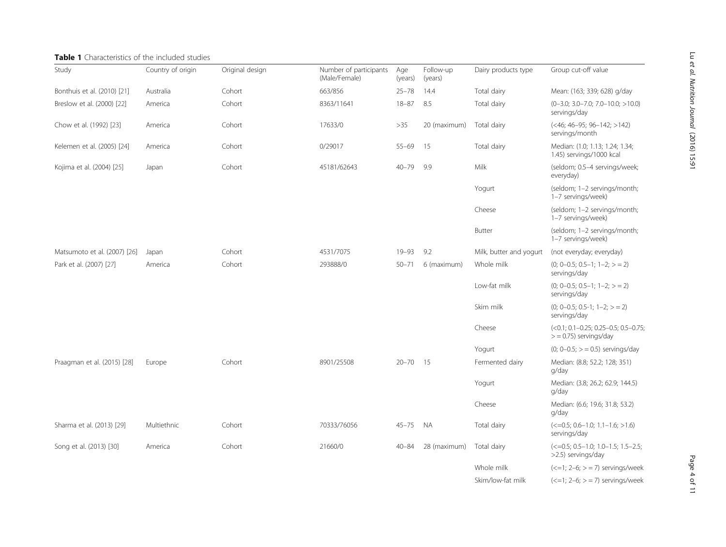# <span id="page-3-0"></span>Table 1 Characteristics of the included studies

| Study                        | Country of origin | Original design | Number of participants<br>(Male/Female) | Age<br>(years) | Follow-up<br>(years) | Dairy products type     | Group cut-off value                                                             |
|------------------------------|-------------------|-----------------|-----------------------------------------|----------------|----------------------|-------------------------|---------------------------------------------------------------------------------|
| Bonthuis et al. (2010) [21]  | Australia         | Cohort          | 663/856                                 | $25 - 78$      | 14.4                 | Total dairy             | Mean: (163; 339; 628) g/day                                                     |
| Breslow et al. (2000) [22]   | America           | Cohort          | 8363/11641                              | $18 - 87$      | 8.5                  | Total dairy             | $(0-3.0; 3.0-7.0; 7.0-10.0; >10.0)$<br>servings/day                             |
| Chow et al. (1992) [23]      | America           | Cohort          | 17633/0                                 | >35            | 20 (maximum)         | Total dairy             | $(<$ 46; 46-95; 96-142; >142)<br>servings/month                                 |
| Kelemen et al. (2005) [24]   | America           | Cohort          | 0/29017                                 | $55 - 69$      | 15                   | Total dairy             | Median: (1.0; 1.13; 1.24; 1.34;<br>1.45) servings/1000 kcal                     |
| Kojima et al. (2004) [25]    | Japan             | Cohort          | 45181/62643                             | $40 - 79$      | 9.9                  | Milk                    | (seldom; 0.5-4 servings/week;<br>everyday)                                      |
|                              |                   |                 |                                         |                |                      | Yogurt                  | (seldom; 1-2 servings/month;<br>1-7 servings/week)                              |
|                              |                   |                 |                                         |                |                      | Cheese                  | (seldom; 1-2 servings/month;<br>1-7 servings/week)                              |
|                              |                   |                 |                                         |                |                      | Butter                  | (seldom; 1-2 servings/month;<br>1-7 servings/week)                              |
| Matsumoto et al. (2007) [26] | Japan             | Cohort          | 4531/7075                               | $19 - 93$      | 9.2                  | Milk, butter and yogurt | (not everyday; everyday)                                                        |
| Park et al. (2007) [27]      | America           | Cohort          | 293888/0                                | $50 - 71$      | 6 (maximum)          | Whole milk              | $(0; 0-0.5; 0.5-1; 1-2; > 2)$<br>servings/day                                   |
|                              |                   |                 |                                         |                |                      | Low-fat milk            | $(0; 0-0.5; 0.5-1; 1-2; > 2)$<br>servings/day                                   |
|                              |                   |                 |                                         |                |                      | Skim milk               | $(0; 0-0.5; 0.5-1; 1-2; > 2)$<br>servings/day                                   |
|                              |                   |                 |                                         |                |                      | Cheese                  | $(<0.1; 0.1 - 0.25; 0.25 - 0.5; 0.5 - 0.75)$<br>$>$ = 0.75) servings/day        |
|                              |                   |                 |                                         |                |                      | Yogurt                  | $(0; 0-0.5; > = 0.5)$ servings/day                                              |
| Praagman et al. (2015) [28]  | Europe            | Cohort          | 8901/25508                              | $20 - 70$      | 15                   | Fermented dairy         | Median: (8.8; 52.2; 128; 351)<br>g/day                                          |
|                              |                   |                 |                                         |                |                      | Yogurt                  | Median: (3.8; 26.2; 62.9; 144.5)<br>g/day                                       |
|                              |                   |                 |                                         |                |                      | Cheese                  | Median: (6.6; 19.6; 31.8; 53.2)<br>q/day                                        |
| Sharma et al. (2013) [29]    | Multiethnic       | Cohort          | 70333/76056                             | $45 - 75$      | <b>NA</b>            | Total dairy             | $\left( \langle =0.5; 0.6-1.0; 1.1-1.6; >1.6 \right)$<br>servings/day           |
| Song et al. (2013) [30]      | America           | Cohort          | 21660/0                                 | $40 - 84$      | 28 (maximum)         | Total dairy             | $\left( \text{<-0.5; 0.5-1.0; 1.0-1.5; 1.5-2.5;} \right)$<br>>2.5) servings/day |
|                              |                   |                 |                                         |                |                      | Whole milk              | $(<=1; 2-6; > = 7)$ servings/week                                               |
|                              |                   |                 |                                         |                |                      | Skim/low-fat milk       | $\left( \langle -1; 2-6; \rangle = 7 \right)$ servings/week                     |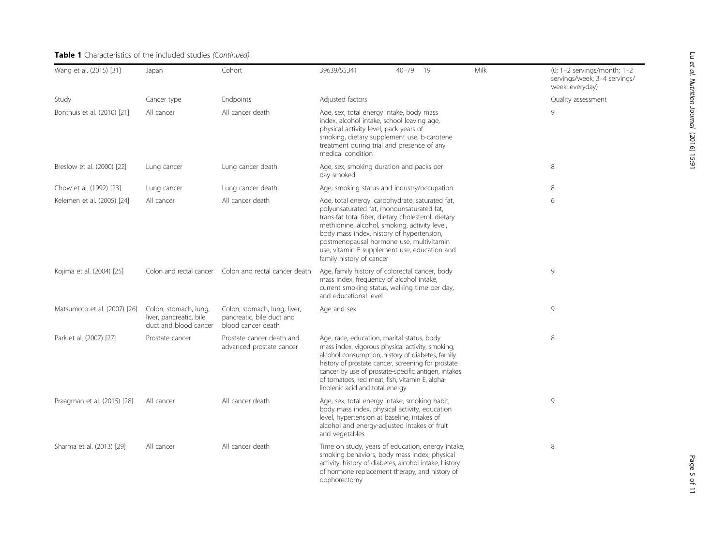# Table 1 Characteristics of the included studies (Continued)

| Wang et al. (2015) [31]      | Japan                                                                     | Cohort                                                                          | 39639/55341                                                                                                                                                                                                                                                                                                                                                               | $40 - 79$ | -19 | Milk | $(0; 1-2$ servings/month; $1-2$<br>servings/week; 3-4 servings/<br>week; everyday) |
|------------------------------|---------------------------------------------------------------------------|---------------------------------------------------------------------------------|---------------------------------------------------------------------------------------------------------------------------------------------------------------------------------------------------------------------------------------------------------------------------------------------------------------------------------------------------------------------------|-----------|-----|------|------------------------------------------------------------------------------------|
| Study                        | Cancer type                                                               | Endpoints                                                                       | Adjusted factors                                                                                                                                                                                                                                                                                                                                                          |           |     |      | Quality assessment                                                                 |
| Bonthuis et al. (2010) [21]  | All cancer                                                                | All cancer death                                                                | Age, sex, total energy intake, body mass<br>index, alcohol intake, school leaving age,<br>physical activity level, pack years of<br>smoking, dietary supplement use, b-carotene<br>treatment during trial and presence of any<br>medical condition                                                                                                                        |           |     |      | 9                                                                                  |
| Breslow et al. (2000) [22]   | Lung cancer                                                               | Lung cancer death                                                               | Age, sex, smoking duration and packs per<br>day smoked                                                                                                                                                                                                                                                                                                                    |           |     |      | 8                                                                                  |
| Chow et al. (1992) [23]      | Lung cancer                                                               | Lung cancer death                                                               | Age, smoking status and industry/occupation                                                                                                                                                                                                                                                                                                                               |           |     |      | 8                                                                                  |
| Kelemen et al. (2005) [24]   | All cancer                                                                | All cancer death                                                                | Age, total energy, carbohydrate, saturated fat,<br>polyunsaturated fat, monounsaturated fat,<br>trans-fat total fiber, dietary cholesterol, dietary<br>methionine, alcohol, smoking, activity level,<br>body mass index, history of hypertension,<br>postmenopausal hormone use, multivitamin<br>use, vitamin E supplement use, education and<br>family history of cancer |           |     |      | 6                                                                                  |
| Kojima et al. (2004) [25]    | Colon and rectal cancer                                                   | Colon and rectal cancer death                                                   | Age, family history of colorectal cancer, body<br>mass index, frequency of alcohol intake,<br>current smoking status, walking time per day,<br>and educational level                                                                                                                                                                                                      |           |     |      | 9                                                                                  |
| Matsumoto et al. (2007) [26] | Colon, stomach, lung,<br>liver, pancreatic, bile<br>duct and blood cancer | Colon, stomach, lung, liver,<br>pancreatic, bile duct and<br>blood cancer death | Age and sex                                                                                                                                                                                                                                                                                                                                                               |           |     |      | $\circ$                                                                            |
| Park et al. (2007) [27]      | Prostate cancer                                                           | Prostate cancer death and<br>advanced prostate cancer                           | Age, race, education, marital status, body<br>mass index, vigorous physical activity, smoking,<br>alcohol consumption, history of diabetes, family<br>history of prostate cancer, screening for prostate<br>cancer by use of prostate-specific antigen, intakes<br>of tomatoes, red meat, fish, vitamin E, alpha-<br>linolenic acid and total energy                      |           |     |      | 8                                                                                  |
| Praagman et al. (2015) [28]  | All cancer                                                                | All cancer death                                                                | Age, sex, total energy intake, smoking habit,<br>body mass index, physical activity, education<br>level, hypertension at baseline, intakes of<br>alcohol and energy-adjusted intakes of fruit<br>and vegetables                                                                                                                                                           |           |     |      | 9                                                                                  |
| Sharma et al. (2013) [29]    | All cancer                                                                | All cancer death                                                                | Time on study, years of education, energy intake,<br>smoking behaviors, body mass index, physical<br>activity, history of diabetes, alcohol intake, history<br>of hormone replacement therapy, and history of<br>oophorectomy                                                                                                                                             |           |     |      | 8                                                                                  |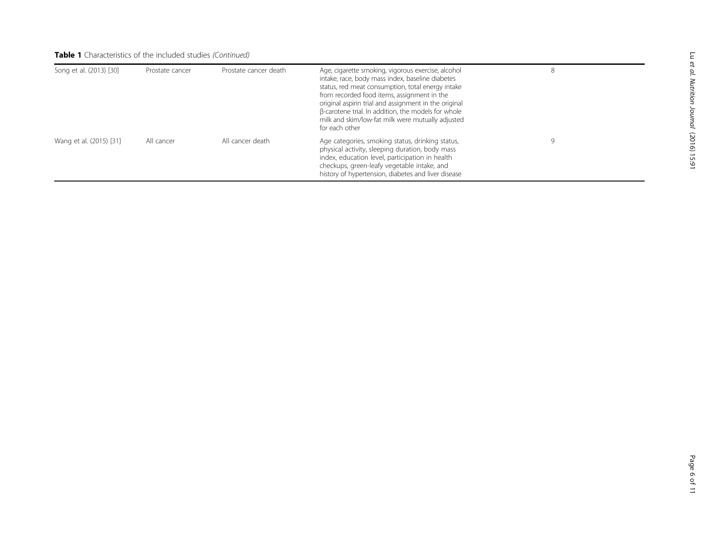# Table 1 Characteristics of the included studies (Continued)

| Song et al. (2013) [30] | Prostate cancer | Prostate cancer death | Age, cigarette smoking, vigorous exercise, alcohol<br>intake, race, body mass index, baseline diabetes<br>status, red meat consumption, total energy intake<br>from recorded food items, assignment in the<br>original aspirin trial and assignment in the original<br>β-carotene trial. In addition, the models for whole<br>milk and skim/low-fat milk were mutually adjusted<br>for each other |  |
|-------------------------|-----------------|-----------------------|---------------------------------------------------------------------------------------------------------------------------------------------------------------------------------------------------------------------------------------------------------------------------------------------------------------------------------------------------------------------------------------------------|--|
| Wang et al. (2015) [31] | All cancer      | All cancer death      | Age categories, smoking status, drinking status,<br>physical activity, sleeping duration, body mass<br>index, education level, participation in health<br>checkups, green-leafy vegetable intake, and<br>history of hypertension, diabetes and liver disease                                                                                                                                      |  |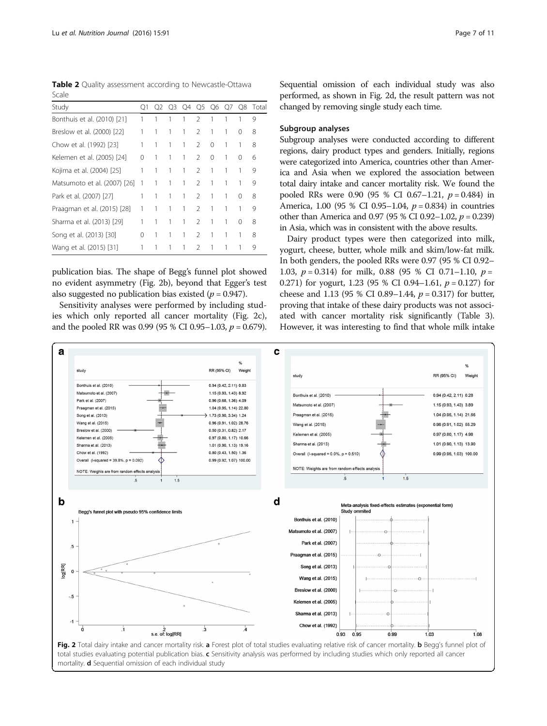<span id="page-6-0"></span>Table 2 Quality assessment according to Newcastle-Ottawa Scale

| Study                        | O1 |   |   |   |               |          |   |   | Q2 Q3 Q4 Q5 Q6 Q7 Q8 Total |
|------------------------------|----|---|---|---|---------------|----------|---|---|----------------------------|
| Bonthuis et al. (2010) [21]  |    |   |   | 1 | $\mathcal{P}$ | 1        |   |   | 9                          |
| Breslow et al. (2000) [22]   |    | 1 | 1 | 1 | $\mathcal{L}$ | 1        |   | 0 | 8                          |
| Chow et al. (1992) [23]      | 1  | 1 | 1 | 1 | $\mathcal{L}$ | $\Omega$ |   |   | 8                          |
| Kelemen et al. (2005) [24]   | 0  | 1 | 1 | 1 | $\mathcal{P}$ | $\Omega$ | 1 | 0 | 6                          |
| Kojima et al. (2004) [25]    | 1  | 1 | 1 | 1 | $\mathcal{P}$ | 1        |   |   | 9                          |
| Matsumoto et al. (2007) [26] |    | 1 | 1 | 1 | $\mathcal{P}$ | 1        |   | 1 | 9                          |
| Park et al. (2007) [27]      |    | 1 | 1 | 1 | $\mathcal{P}$ | 1        |   | ∩ | 8                          |
| Praagman et al. (2015) [28]  | 1  |   |   | 1 | $\mathcal{P}$ | 1        |   |   | 9                          |
| Sharma et al. (2013) [29]    |    |   | 1 | 1 | $\mathcal{P}$ | 1        |   | ∩ | 8                          |
| Song et al. (2013) [30]      | 0  | 1 | 1 | 1 | $\mathcal{P}$ | 1        |   |   | 8                          |
| Wang et al. (2015) [31]      |    |   |   | 1 | $\mathcal{P}$ | 1        |   |   | 9                          |

publication bias. The shape of Begg's funnel plot showed no evident asymmetry (Fig. 2b), beyond that Egger's test also suggested no publication bias existed ( $p = 0.947$ ).

Sensitivity analyses were performed by including studies which only reported all cancer mortality (Fig. 2c), and the pooled RR was 0.99 (95 % CI 0.95–1.03,  $p = 0.679$ ). Sequential omission of each individual study was also performed, as shown in Fig. 2d, the result pattern was not changed by removing single study each time.

## Subgroup analyses

Subgroup analyses were conducted according to different regions, dairy product types and genders. Initially, regions were categorized into America, countries other than America and Asia when we explored the association between total dairy intake and cancer mortality risk. We found the pooled RRs were 0.90 (95 % CI 0.67-1.21,  $p = 0.484$ ) in America, 1.00 (95 % CI 0.95–1.04,  $p = 0.834$ ) in countries other than America and 0.97 (95 % CI 0.92–1.02,  $p = 0.239$ ) in Asia, which was in consistent with the above results.

Dairy product types were then categorized into milk, yogurt, cheese, butter, whole milk and skim/low-fat milk. In both genders, the pooled RRs were 0.97 (95 % CI 0.92– 1.03,  $p = 0.314$ ) for milk, 0.88 (95 % CI 0.71–1.10,  $p =$ 0.271) for yogurt, 1.23 (95 % CI 0.94–1.61,  $p = 0.127$ ) for cheese and 1.13 (95 % CI 0.89–1.44,  $p = 0.317$ ) for butter, proving that intake of these dairy products was not associated with cancer mortality risk significantly (Table [3](#page-7-0)). However, it was interesting to find that whole milk intake

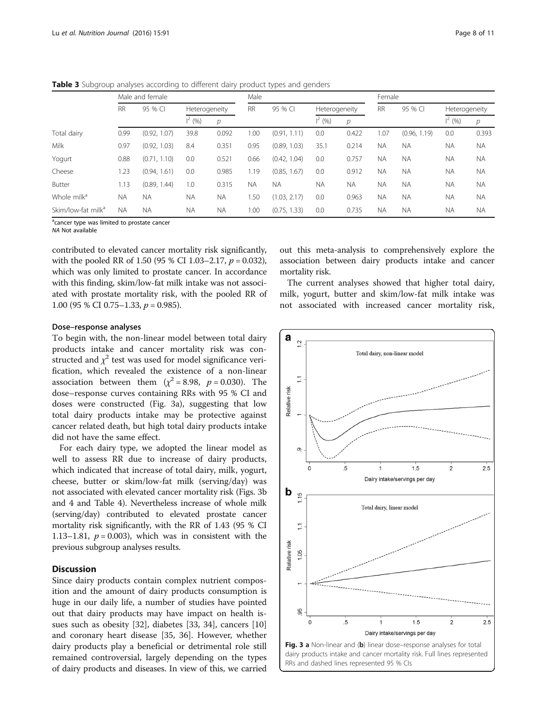<span id="page-7-0"></span>

| Table 3 Subgroup analyses according to different dairy product types and genders |  |
|----------------------------------------------------------------------------------|--|
|----------------------------------------------------------------------------------|--|

|                                | Male and female |                    |               |               | Male      |              |                |           | Female    |              |               |           |
|--------------------------------|-----------------|--------------------|---------------|---------------|-----------|--------------|----------------|-----------|-----------|--------------|---------------|-----------|
|                                | <b>RR</b>       | 95 % CI            | Heterogeneity |               | <b>RR</b> | 95 % CI      | Heterogeneity  |           | <b>RR</b> | 95 % CI      | Heterogeneity |           |
|                                |                 |                    | $1^2$ (%)     | $\mathcal{D}$ |           |              | $1^2$ (%)<br>р |           |           |              | $1^2$ (%)     | р         |
| Total dairy                    | 0.99            | (0.92, 1.07)       | 39.8          | 0.092         | 00.1      | (0.91, 1.11) | 0.0            | 0.422     | .07       | (0.96, 1.19) | 0.0           | 0.393     |
| Milk                           | 0.97            | (0.92, 1.03)       | 8.4           | 0.351         | 0.95      | (0.89, 1.03) | 35.1           | 0.214     | <b>NA</b> | <b>NA</b>    | <b>NA</b>     | <b>NA</b> |
| Yogurt                         | 0.88            | (0.71, 1.10)       | 0.0           | 0.521         | 0.66      | (0.42, 1.04) | 0.0            | 0.757     | <b>NA</b> | <b>NA</b>    | <b>NA</b>     | <b>NA</b> |
| Cheese                         | 1.23            | (0.94, 1)<br>1.61) | 0.0           | 0.985         | 1.19      | (0.85, 1.67) | 0.0            | 0.912     | <b>NA</b> | <b>NA</b>    | <b>NA</b>     | <b>NA</b> |
| Butter                         | 1.13            | (0.89, 1.44)       | 1.0           | 0.315         | <b>NA</b> | <b>NA</b>    | <b>NA</b>      | <b>NA</b> | <b>NA</b> | <b>NA</b>    | <b>NA</b>     | <b>NA</b> |
| Whole milk <sup>a</sup>        | <b>NA</b>       | <b>NA</b>          | <b>NA</b>     | <b>NA</b>     | . 50      | (1.03, 2.17) | 0.0            | 0.963     | <b>NA</b> | <b>NA</b>    | <b>NA</b>     | <b>NA</b> |
| Skim/low-fat milk <sup>a</sup> | <b>NA</b>       | <b>NA</b>          | ΝA            | <b>NA</b>     | 1.00      | (0.75, 1.33) | 0.0            | 0.735     | <b>NA</b> | <b>NA</b>    | <b>NA</b>     | <b>NA</b> |

<sup>a</sup>cancer type was limited to prostate cancer

NA Not available

contributed to elevated cancer mortality risk significantly, with the pooled RR of 1.50 (95 % CI 1.03–2.17,  $p = 0.032$ ), which was only limited to prostate cancer. In accordance with this finding, skim/low-fat milk intake was not associated with prostate mortality risk, with the pooled RR of 1.00 (95 % CI 0.75–1.33,  $p = 0.985$ ).

# association between dairy products intake and cancer mortality risk. The current analyses showed that higher total dairy,

out this meta-analysis to comprehensively explore the

milk, yogurt, butter and skim/low-fat milk intake was not associated with increased cancer mortality risk,

## Dose–response analyses

To begin with, the non-linear model between total dairy products intake and cancer mortality risk was constructed and  $\chi^2$  test was used for model significance verification, which revealed the existence of a non-linear association between them  $(\chi^2 = 8.98, p = 0.030)$ . The dose–response curves containing RRs with 95 % CI and doses were constructed (Fig. 3a), suggesting that low total dairy products intake may be protective against cancer related death, but high total dairy products intake did not have the same effect.

For each dairy type, we adopted the linear model as well to assess RR due to increase of dairy products, which indicated that increase of total dairy, milk, yogurt, cheese, butter or skim/low-fat milk (serving/day) was not associated with elevated cancer mortality risk (Figs. 3b and [4](#page-8-0) and Table [4](#page-9-0)). Nevertheless increase of whole milk (serving/day) contributed to elevated prostate cancer mortality risk significantly, with the RR of 1.43 (95 % CI 1.13–1.81,  $p = 0.003$ ), which was in consistent with the previous subgroup analyses results.

## **Discussion**

Since dairy products contain complex nutrient composition and the amount of dairy products consumption is huge in our daily life, a number of studies have pointed out that dairy products may have impact on health issues such as obesity [\[32](#page-10-0)], diabetes [[33, 34](#page-10-0)], cancers [[10](#page-10-0)] and coronary heart disease [[35, 36\]](#page-10-0). However, whether dairy products play a beneficial or detrimental role still remained controversial, largely depending on the types of dairy products and diseases. In view of this, we carried

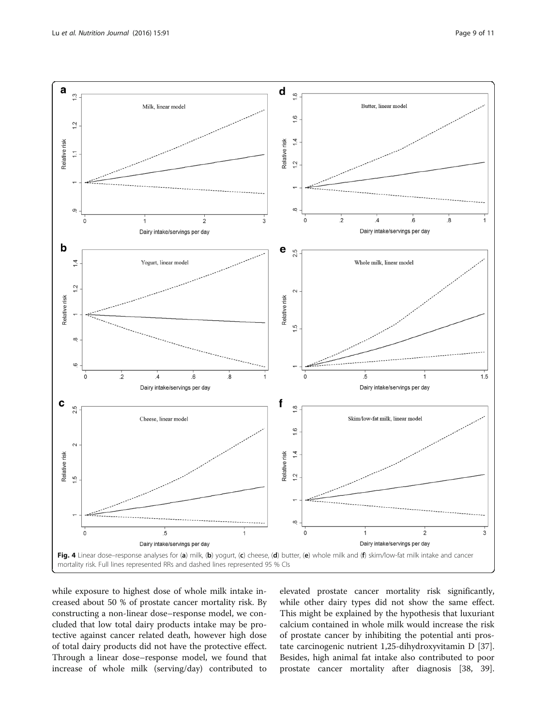<span id="page-8-0"></span>

while exposure to highest dose of whole milk intake increased about 50 % of prostate cancer mortality risk. By constructing a non-linear dose–response model, we concluded that low total dairy products intake may be protective against cancer related death, however high dose of total dairy products did not have the protective effect. Through a linear dose–response model, we found that increase of whole milk (serving/day) contributed to elevated prostate cancer mortality risk significantly, while other dairy types did not show the same effect. This might be explained by the hypothesis that luxuriant calcium contained in whole milk would increase the risk of prostate cancer by inhibiting the potential anti prostate carcinogenic nutrient 1,25-dihydroxyvitamin D [\[37](#page-10-0)]. Besides, high animal fat intake also contributed to poor prostate cancer mortality after diagnosis [\[38, 39](#page-10-0)].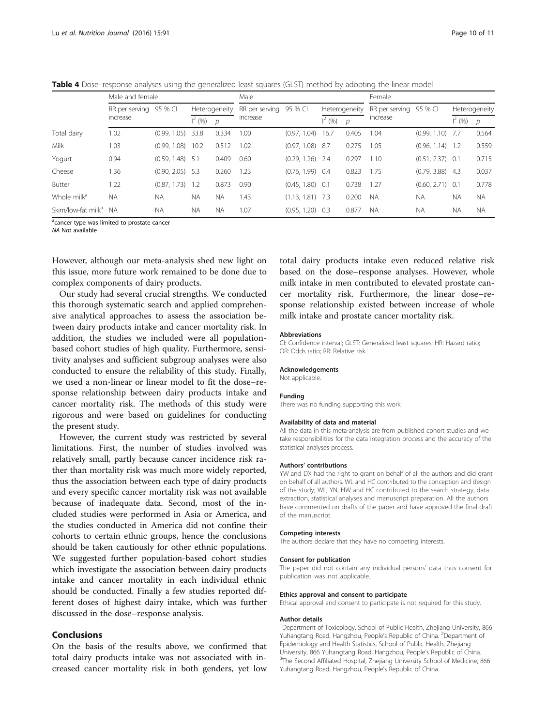<span id="page-9-0"></span>Table 4 Dose–response analyses using the generalized least squares (GLST) method by adopting the linear model

|                                | Male and female        |              |                 |               | Male           |                    |                 | Female        |                |                    |                   |           |
|--------------------------------|------------------------|--------------|-----------------|---------------|----------------|--------------------|-----------------|---------------|----------------|--------------------|-------------------|-----------|
|                                | RR per serving 95 % CI |              | Heterogeneity   |               | RR per serving | 95 % CI            | Heterogeneity   |               | RR per serving | 95 % CI            | Heterogeneity     |           |
|                                | increase               |              | $\vert^{2}$ (%) | $\mathcal{D}$ | increase       |                    | $\vert^{2}$ (%) | $\mathcal{D}$ | increase       |                    | $\frac{1}{2}$ (%) | p         |
| Total dairy                    | 1.02                   | (0.99, 1.05) | 33.8            | 0.334         | 1.00           | (0.97, 1.04)       | 16.7            | 0.405         | 1.04           | (0.99, 1.10)       | -7.7              | 0.564     |
| Milk                           | 1.03                   | (0.99, 1.08) | 10.2            | 0.512         | 1.02           | (0.97, 1.08)       | - 8.7           | 0.275         | 1.05           | (0.96, 1.14)       | 1.2               | 0.559     |
| Yogurt                         | 0.94                   | (0.59, 1.48) | - 5.1           | 0.409         | 0.60           | (0.29, 1.26)       | - 2.4           | 0.297         | 1.10           | $(0.51, 2.37)$ 0.1 |                   | 0.715     |
| Cheese                         | 1.36                   | (0.90, 2.05) | - 5.3           | 0.260         | 1.23           | $(0.76, 1.99)$ 0.4 |                 | 0.823         | 1.75           | (0.79, 3.88)       | -4.3              | 0.037     |
| Butter                         | 1.22                   | (0.87, 1.73) | 1.2             | 0.873         | 0.90           | $(0.45, 1.80)$ 0.1 |                 | 0.738         | 1.27           | $(0.60, 2.71)$ 0.1 |                   | 0.778     |
| Whole milk <sup>a</sup>        | <b>NA</b>              | <b>NA</b>    | <b>NA</b>       | <b>NA</b>     | 1.43           | $(1.13, 1.81)$ 7.3 |                 | 0.200         | <b>NA</b>      | <b>NA</b>          | <b>NA</b>         | <b>NA</b> |
| Skim/low-fat milk <sup>a</sup> | <b>NA</b>              | <b>NA</b>    | <b>NA</b>       | <b>NA</b>     | 1.07           | (0.95, 1.20)       | 0.3             | 0.877         | <b>NA</b>      | <b>NA</b>          | <b>NA</b>         | <b>NA</b> |

<sup>a</sup>cancer type was limited to prostate cancer

NA Not available

However, although our meta-analysis shed new light on this issue, more future work remained to be done due to complex components of dairy products.

Our study had several crucial strengths. We conducted this thorough systematic search and applied comprehensive analytical approaches to assess the association between dairy products intake and cancer mortality risk. In addition, the studies we included were all populationbased cohort studies of high quality. Furthermore, sensitivity analyses and sufficient subgroup analyses were also conducted to ensure the reliability of this study. Finally, we used a non-linear or linear model to fit the dose–response relationship between dairy products intake and cancer mortality risk. The methods of this study were rigorous and were based on guidelines for conducting the present study.

However, the current study was restricted by several limitations. First, the number of studies involved was relatively small, partly because cancer incidence risk rather than mortality risk was much more widely reported, thus the association between each type of dairy products and every specific cancer mortality risk was not available because of inadequate data. Second, most of the included studies were performed in Asia or America, and the studies conducted in America did not confine their cohorts to certain ethnic groups, hence the conclusions should be taken cautiously for other ethnic populations. We suggested further population-based cohort studies which investigate the association between dairy products intake and cancer mortality in each individual ethnic should be conducted. Finally a few studies reported different doses of highest dairy intake, which was further discussed in the dose–response analysis.

## Conclusions

On the basis of the results above, we confirmed that total dairy products intake was not associated with increased cancer mortality risk in both genders, yet low

total dairy products intake even reduced relative risk based on the dose–response analyses. However, whole milk intake in men contributed to elevated prostate cancer mortality risk. Furthermore, the linear dose–response relationship existed between increase of whole milk intake and prostate cancer mortality risk.

#### Abbreviations

CI: Confidence interval; GLST: Generalized least squares; HR: Hazard ratio; OR: Odds ratio; RR: Relative risk

#### Acknowledgements

Not applicable.

#### Funding

There was no funding supporting this work.

#### Availability of data and material

All the data in this meta-analysis are from published cohort studies and we take responsibilities for the data integration process and the accuracy of the statistical analyses process.

#### Authors' contributions

YW and DX had the right to grant on behalf of all the authors and did grant on behalf of all authors. WL and HC contributed to the conception and design of the study; WL, YN, HW and HC contributed to the search strategy, data extraction, statistical analyses and manuscript preparation. All the authors have commented on drafts of the paper and have approved the final draft of the manuscript.

#### Competing interests

The authors declare that they have no competing interests.

#### Consent for publication

The paper did not contain any individual persons' data thus consent for publication was not applicable.

#### Ethics approval and consent to participate

Ethical approval and consent to participate is not required for this study.

#### Author details

<sup>1</sup>Department of Toxicology, School of Public Health, Zhejiang University, 866 Yuhangtang Road, Hangzhou, People's Republic of China. <sup>2</sup>Department of Epidemiology and Health Statistics, School of Public Health, Zhejiang University, 866 Yuhangtang Road, Hangzhou, People's Republic of China. <sup>3</sup> <sup>3</sup>The Second Affiliated Hospital, Zhejiang University School of Medicine, 866 Yuhangtang Road, Hangzhou, People's Republic of China.